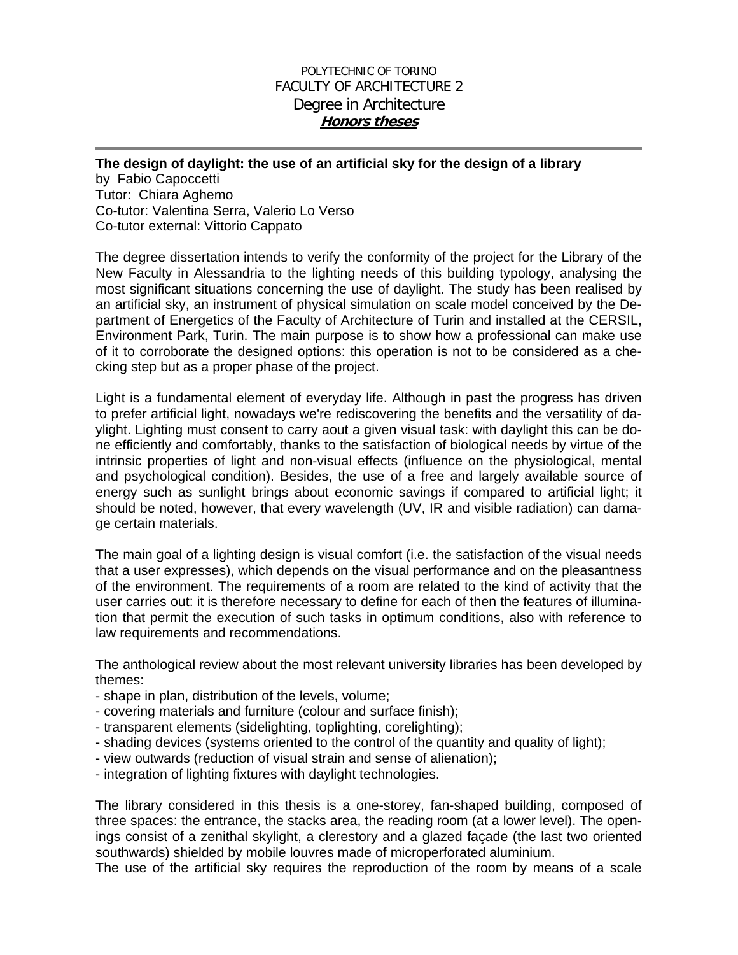## POLYTECHNIC OF TORINO FACULTY OF ARCHITECTURE 2 Degree in Architecture **Honors theses**

## **The design of daylight: the use of an artificial sky for the design of a library**

by Fabio Capoccetti Tutor: Chiara Aghemo Co-tutor: Valentina Serra, Valerio Lo Verso Co-tutor external: Vittorio Cappato

The degree dissertation intends to verify the conformity of the project for the Library of the New Faculty in Alessandria to the lighting needs of this building typology, analysing the most significant situations concerning the use of daylight. The study has been realised by an artificial sky, an instrument of physical simulation on scale model conceived by the Department of Energetics of the Faculty of Architecture of Turin and installed at the CERSIL, Environment Park, Turin. The main purpose is to show how a professional can make use of it to corroborate the designed options: this operation is not to be considered as a checking step but as a proper phase of the project.

Light is a fundamental element of everyday life. Although in past the progress has driven to prefer artificial light, nowadays we're rediscovering the benefits and the versatility of daylight. Lighting must consent to carry aout a given visual task: with daylight this can be done efficiently and comfortably, thanks to the satisfaction of biological needs by virtue of the intrinsic properties of light and non-visual effects (influence on the physiological, mental and psychological condition). Besides, the use of a free and largely available source of energy such as sunlight brings about economic savings if compared to artificial light; it should be noted, however, that every wavelength (UV, IR and visible radiation) can damage certain materials.

The main goal of a lighting design is visual comfort (i.e. the satisfaction of the visual needs that a user expresses), which depends on the visual performance and on the pleasantness of the environment. The requirements of a room are related to the kind of activity that the user carries out: it is therefore necessary to define for each of then the features of illumination that permit the execution of such tasks in optimum conditions, also with reference to law requirements and recommendations.

The anthological review about the most relevant university libraries has been developed by themes:

- shape in plan, distribution of the levels, volume;
- covering materials and furniture (colour and surface finish);
- transparent elements (sidelighting, toplighting, corelighting);
- shading devices (systems oriented to the control of the quantity and quality of light);
- view outwards (reduction of visual strain and sense of alienation);
- integration of lighting fixtures with daylight technologies.

The library considered in this thesis is a one-storey, fan-shaped building, composed of three spaces: the entrance, the stacks area, the reading room (at a lower level). The openings consist of a zenithal skylight, a clerestory and a glazed façade (the last two oriented southwards) shielded by mobile louvres made of microperforated aluminium.

The use of the artificial sky requires the reproduction of the room by means of a scale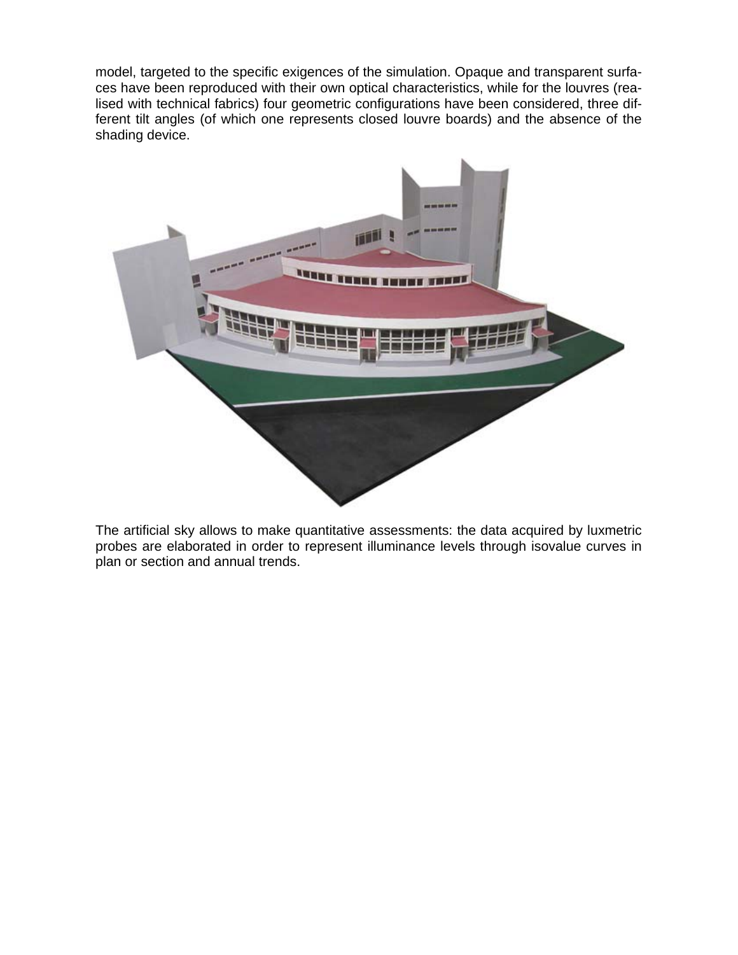model, targeted to the specific exigences of the simulation. Opaque and transparent surfaces have been reproduced with their own optical characteristics, while for the louvres (realised with technical fabrics) four geometric configurations have been considered, three different tilt angles (of which one represents closed louvre boards) and the absence of the shading device.



The artificial sky allows to make quantitative assessments: the data acquired by luxmetric probes are elaborated in order to represent illuminance levels through isovalue curves in plan or section and annual trends.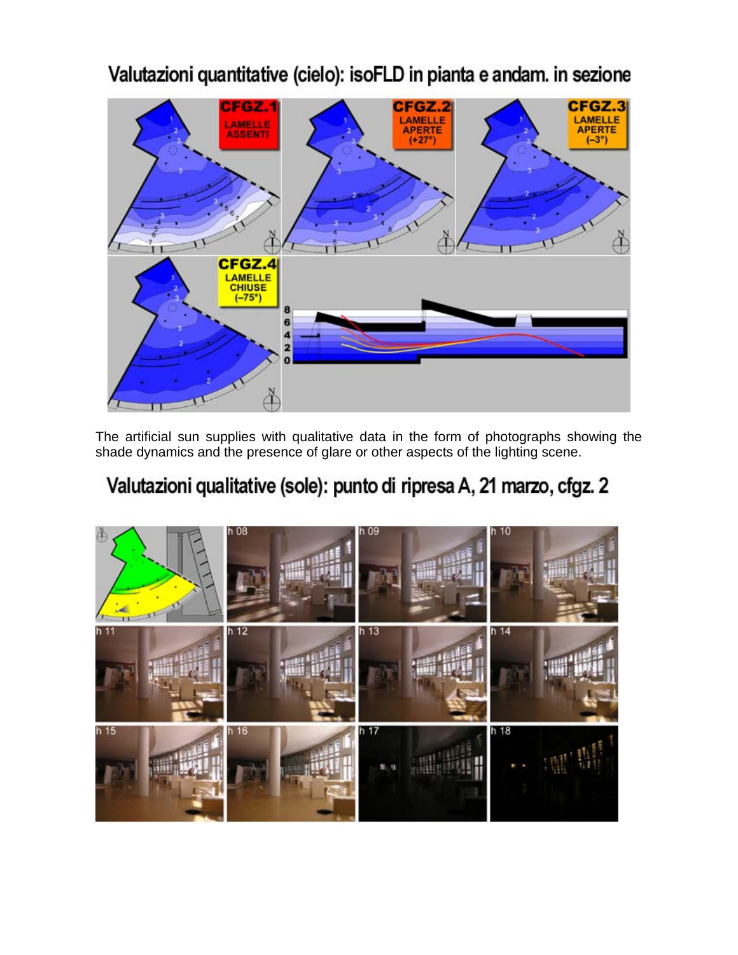

Valutazioni quantitative (cielo): isoFLD in pianta e andam. in sezione

The artificial sun supplies with qualitative data in the form of photographs showing the shade dynamics and the presence of glare or other aspects of the lighting scene.

## Valutazioni qualitative (sole): punto di ripresa A, 21 marzo, cfgz. 2